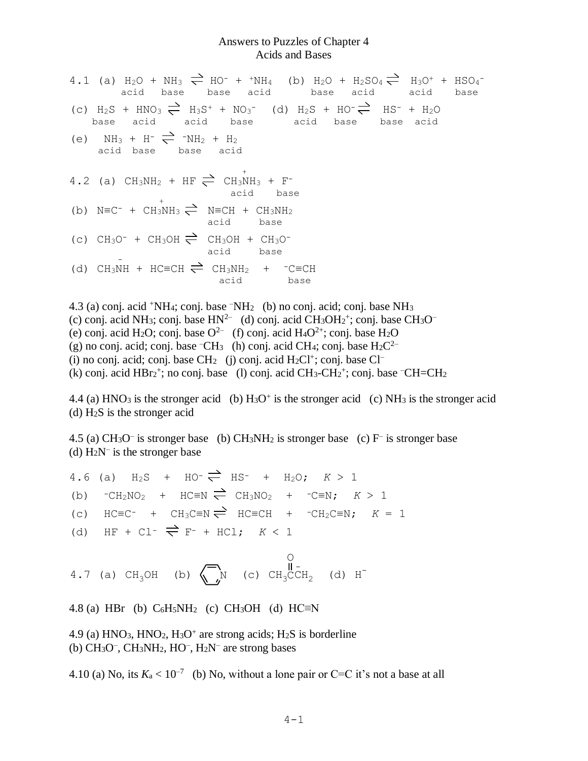## Answers to Puzzles of Chapter 4 Acids and Bases

| 4.1 (a) $H_2O + NH_3 \rightleftharpoons HO^- + H_1H_4$ (b) $H_2O + H_2SO_4 \rightleftharpoons H_3O^+ + HSO_4^-$<br>acid base base acid base acid acid base |  |  |
|------------------------------------------------------------------------------------------------------------------------------------------------------------|--|--|
| (c) $H_2S + HNO_3 \rightleftharpoons H_3S^+ + NO_3^-$ (d) $H_2S + HO^- \rightleftharpoons HS^- + H_2O$<br>base acid acid base acid base base acid          |  |  |
| (e) $NH_3 + H^- \rightleftharpoons ~^-NH_2 + H_2$<br>acid base base acid                                                                                   |  |  |
| 4.2 (a) $CH_3NH_2$ + HF $\rightleftharpoons$ $CH_3NH_3$ + F <sup>-</sup><br>acid base                                                                      |  |  |
| (b) $N \equiv C^-$ + $CH_3NH_3$ $\rightleftharpoons$ $N \equiv CH$ + $CH_3NH_2$<br>acid base                                                               |  |  |
| (c) $CH_3O^-$ + $CH_3OH \rightleftharpoons CH_3OH + CH_3O^-$<br>acid base                                                                                  |  |  |
| (d) CH <sub>3</sub> NH + HC=CH $\rightleftharpoons$ CH <sub>3</sub> NH <sub>2</sub> + -C=CH<br>acid base                                                   |  |  |

4.3 (a) conj. acid <sup>+</sup>NH4; conj. base –NH2 (b) no conj. acid; conj. base NH<sup>3</sup> (c) conj. acid NH<sub>3</sub>; conj. base  $HN^{2-}$  (d) conj. acid CH<sub>3</sub>OH<sub>2</sub><sup>+</sup>; conj. base CH<sub>3</sub>O<sup>-</sup> (e) conj. acid H<sub>2</sub>O; conj. base O<sup>2-</sup> (f) conj. acid H<sub>4</sub>O<sup>2+</sup>; conj. base H<sub>2</sub>O (g) no conj. acid; conj. base  $\text{-CH}_3$  (h) conj. acid CH<sub>4</sub>; conj. base H<sub>2</sub>C<sup>2–</sup> (i) no conj. acid; conj. base  $CH_2$  (j) conj. acid  $H_2Cl^+$ ; conj. base  $Cl^-$ (k) conj. acid  $HBr_2^+$ ; no conj. base (l) conj. acid  $CH_3-CH_2^+$ ; conj. base  $-CH=CH_2$ 

4.4 (a) HNO<sub>3</sub> is the stronger acid (b)  $H<sub>3</sub>O<sup>+</sup>$  is the stronger acid (c) NH<sub>3</sub> is the stronger acid (d) H2S is the stronger acid

4.5 (a) CH<sub>3</sub>O<sup>-</sup> is stronger base (b) CH<sub>3</sub>NH<sub>2</sub> is stronger base (c) F<sup>-</sup> is stronger base (d)  $H_2N^-$  is the stronger base

4.6 (a)  $H_2S$  +  $HO^- \rightleftharpoons HS^-$  +  $H_2O$ ;  $K > 1$ (b)  $\text{C}\text{H}_2\text{NO}_2$  +  $\text{HC} \equiv \text{N} \rightleftharpoons \text{CH}_3\text{NO}_2$  +  $\text{C}\equiv \text{N}; K > 1$ (c)  $HC=CC^-$  +  $CH_3C\equiv N \rightleftharpoons HC\equiv CH$  +  $-CH_2C\equiv N$ ;  $K = 1$ (d) HF + Cl<sup>-</sup>  $\Rightarrow$  F<sup>-</sup> + HCl;  $K < 1$ O

4.7 (a) CH<sub>3</sub>OH (b)  $\left\langle \begin{array}{ccc} \n\hline\nN & \n\end{array} \right\rangle$  (c) CH<sub>3</sub>CCH<sub>2</sub> (d) H<sup>-</sup>

4.8 (a) HBr (b)  $C_6H_5NH_2$  (c) CH<sub>3</sub>OH (d) HC≡N

4.9 (a)  $HNO<sub>3</sub>$ ,  $HNO<sub>2</sub>$ ,  $H<sub>3</sub>O<sup>+</sup>$  are strong acids;  $H<sub>2</sub>S$  is borderline  $(b)$  CH<sub>3</sub>O<sup>-</sup>, CH<sub>3</sub>NH<sub>2</sub>, HO<sup>-</sup>, H<sub>2</sub>N<sup>-</sup> are strong bases

4.10 (a) No, its  $K_a < 10^{-7}$  (b) No, without a lone pair or C=C it's not a base at all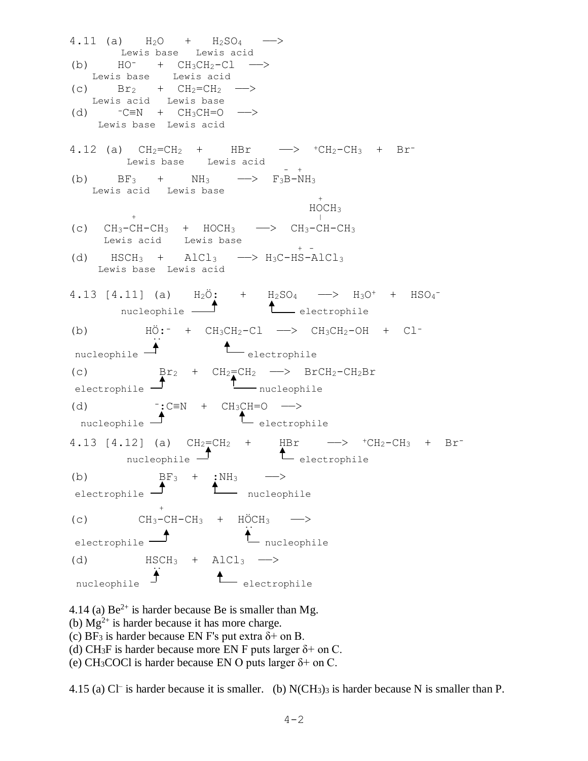$4.11$  (a)  $H_2O + H_2SO_4$  Lewis base Lewis acid (b)  $HO^-$  +  $CH_3CH_2-Cl$  --> Lewis base Lewis acid (c)  $Br_2 + CH_2=CH_2 \longrightarrow$  Lewis acid Lewis base (d)  $-C\equiv N + CH_3CH=O \longrightarrow$  Lewis base Lewis acid 4.12 (a)  $CH_2=CH_2$  +  $HBr$   $\longrightarrow$   $+CH_2-CH_3$  +  $Br^-$  Lewis base Lewis acid - + (b)  $BF_3$  +  $NH_3$  -->  $F_3B-NH_3$  Lewis acid Lewis base <sup>+</sup> HOCH<sub>3</sub>  $+$   $+$ (c)  $CH_3-CH-CH_3$  +  $HOCH_3$  ->  $CH_3-CH-CH_3$  Lewis acid Lewis base <sup>+</sup> - (d)  $HSCH_3$  +  $AlCl_3$  -->  $H_3C-HS-AlCl_3$  Lewis base Lewis acid 4.13 [4.11] (a)  $H_2\ddot{\mathrm{O}}$ : +  $H_2\mathrm{SO}_4$  ->  $H_3\mathrm{O}^+$  +  $H\mathrm{SO}_4^$ nucleophile **1** electrophile (b)  $H\ddot{\mathrm{O}}$ : +  $CH_3CH_2-Cl$  -->  $CH_3CH_2-OH$  +  $Cl^ \overline{\mathbf{r}}$ .  $nucleophile$   $\overline{L}$  electrophile (c)  $Br_2 + CH_2=CH_2 \longrightarrow BrCH_2-CH_2Br$  $\overline{\mathbf{r}}$  nucleophile  $\overline{\mathbf{r}}$  nucleophile (d)  $\overline{\phantom{a}}$ :C≡N + CH<sub>3</sub>CH=O ——> nucleophile  $\overline{\mathbf{L}}$  electrophile 4.13 [4.12] (a)  $CH_2=CH_2$  + HBr  $\longrightarrow$   $~^+CH_2-CH_3$  + Brnucleophile  $I$   $L$  electrophile (b)  $BF_3 + :NH_3$  —> electrophile  $\Gamma$  nucleophile  $+$ (c)  $CH_3-CH-CH_3 + HÖCH_3 \longrightarrow$  $(c)$  $\begin{array}{ccc} \hbox{ 1 } & \multicolumn{1}{c} \end{array}$   $\begin{array}{ccc} \hbox{ 1 } & \multicolumn{1}{c} \end{array}$   $\begin{array}{ccc} \hbox{ 1 } & \multicolumn{1}{c} \end{array}$   $\begin{array}{ccc} \hbox{ 1 } & \multicolumn{1}{c} \end{array}$ (d)  $HSCH_3 + AIC1_3 \longrightarrow$ nucleophile  $\biguparrow$  $\leftarrow$  electrophile

4.14 (a)  $Be^{2+}$  is harder because Be is smaller than Mg. (b)  $Mg^{2+}$  is harder because it has more charge. (c) BF<sub>3</sub> is harder because EN F's put extra  $\delta$ + on B. (d) CH<sub>3</sub>F is harder because more EN F puts larger  $\delta$ + on C. (e) CH<sub>3</sub>COCl is harder because EN O puts larger  $\delta$ + on C.

4.15 (a) Cl<sup>-</sup> is harder because it is smaller. (b) N(CH<sub>3</sub>)<sub>3</sub> is harder because N is smaller than P.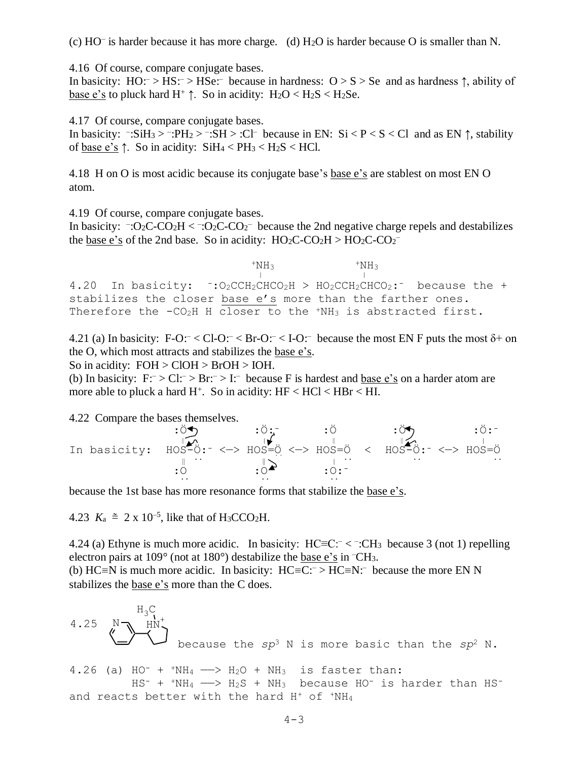(c) HO– is harder because it has more charge. (d) H2O is harder because O is smaller than N.

4.16 Of course, compare conjugate bases.

In basicity:  $HO: > HS: > HSe:$  because in hardness:  $O > S > Se$  and as hardness  $\uparrow$ , ability of base e's to pluck hard  $H^+ \uparrow$ . So in acidity:  $H_2O < H_2S < H_2Se$ .

4.17 Of course, compare conjugate bases.

In basicity:  $\exists S \text{ is } S \text{ is } S \text{ is } S \text{ is } S \text{ is } S \text{ is } S \text{ is } S \text{ is } S \text{ is } S \text{ is } S \text{ is } S \text{ is } S \text{ is } S \text{ is } S \text{ is } S \text{ is } S \text{ is } S \text{ is } S \text{ is } S \text{ is } S \text{ is } S \text{ is } S \text{ is } S \text{ is } S \text{ is } S \text{ is } S \text{ is } S \text{ is } S \text{ is } S \text{ is } S \text{ is } S \text{ is } S \text{ is } S \text{ is } S$ of base e's  $\uparrow$ . So in acidity: SiH<sub>4</sub> < PH<sub>3</sub> < H<sub>2</sub>S < HCl.

4.18 H on O is most acidic because its conjugate base's base e's are stablest on most EN O atom.

4.19 Of course, compare conjugate bases.

In basicity:  $\exists$ :O<sub>2</sub>C-CO<sub>2</sub>H < $\exists$ :O<sub>2</sub>C-CO<sub>2</sub> because the 2nd negative charge repels and destabilizes the <u>base e's</u> of the 2nd base. So in acidity:  $HO_2C-CO_2H > HO_2C-CO_2^{-}$ 

 $+NH<sub>3</sub>$   $+NH<sub>3</sub>$  $\frac{1}{1}$   $\frac{1}{1}$ 4.20 In basicity:  $\cdot : O_2CCH_2CHCO_2H$  >  $HO_2CCH_2CHCO_2$ : because the + stabilizes the closer base e's more than the farther ones. Therefore the -CO<sub>2</sub>H H closer to the 'NH<sub>3</sub> is abstracted first.

4.21 (a) In basicity: F-O: $<$  Cl-O: $<$  Br-O: $<$  I-O: $<$  because the most EN F puts the most  $\delta$ + on the O, which most attracts and stabilizes the base e's.

So in acidity:  $FOH > CIOH > BroH > IOH$ .

(b) In basicity:  $F: > Cl: > Br: > I:$  because F is hardest and <u>base e's</u> on a harder atom are more able to pluck a hard  $H^+$ . So in acidity:  $HF < HCl < HBr < HI$ .

4.22 Compare the bases themselves.

| In basicity: $\angle$ HOS-O:- <-> HOS=O <-> HOS=O < HOS-O:- <-> HOS-O:- <-> HOS=O |  |  |  |
|-----------------------------------------------------------------------------------|--|--|--|
|                                                                                   |  |  |  |
|                                                                                   |  |  |  |

because the 1st base has more resonance forms that stabilize the base e's.

4.23  $K_a \cong 2 \times 10^{-5}$ , like that of H<sub>3</sub>CCO<sub>2</sub>H.

4.24 (a) Ethyne is much more acidic. In basicity:  $HC = C^- <$  : CH<sub>3</sub> because 3 (not 1) repelling electron pairs at 109° (not at 180°) destabilize the base e's in –CH3. (b) HC≡N is much more acidic. In basicity:  $HC = C:^- > HC = N$ : because the more EN N stabilizes the base e's more than the C does.

4.25 N HN +<sup>H</sup>3<sup>C</sup> because the *sp*<sup>3</sup> N is more basic than the *sp*<sup>2</sup> N. 4.26 (a) HO- + +NH<sup>4</sup> ——> H2O + NH3 is faster than:

+  $^+$ NH4  $-\!\!-\!\!>$  H2S + NH3 because HO $^-$  is harder than HS and reacts better with the hard  $H^+$  of  $+NH_4$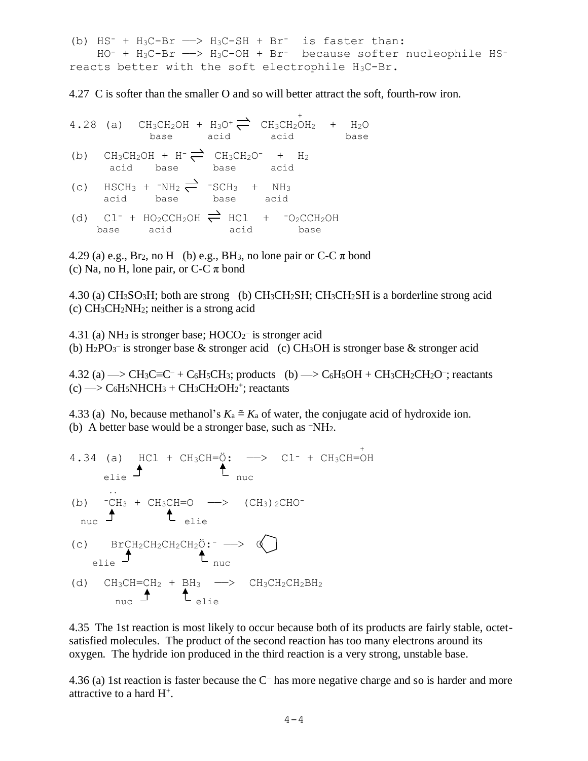(b)  $HS^-$  +  $H_3C-Br$   $\longrightarrow$   $H_3C-SH$  +  $Br^-$  is faster than: HO- + H3C-Br ——> H3C-OH + Br- because softer nucleophile HSreacts better with the soft electrophile H3C-Br.

4.27 C is softer than the smaller O and so will better attract the soft, fourth-row iron.

- $\sim$ 4.28 (a)  $CH_3CH_2OH + H_3O^+ \rightleftharpoons CH_3CH_2OH_2 + H_2O$ base acid acid base
- (b)  $CH_3CH_2OH + H^- \rightleftharpoons CH_3CH_2O^- + H_2$ acid base base acid
- (c)  $HSCH_3 + TNH_2 \rightleftharpoons TSCH_3 + NH_3$ acid base base acid
- (d)  $CL^-$  +  $HO_2CCH_2OH \rightleftharpoons HCL$  +  $-O_2CCH_2OH$ base acid acid base

4.29 (a) e.g., Br<sub>2</sub>, no H (b) e.g., BH<sub>3</sub>, no lone pair or C-C  $\pi$  bond (c) Na, no H, lone pair, or  $C-C \pi$  bond

4.30 (a) CH3SO3H; both are strong (b) CH3CH2SH; CH3CH2SH is a borderline strong acid (c)  $CH<sub>3</sub>CH<sub>2</sub>NH<sub>2</sub>$ ; neither is a strong acid

4.31 (a) NH<sub>3</sub> is stronger base;  $HOCO_2^-$  is stronger acid (b)  $\text{H}_2\text{PO}_3$ <sup>-</sup> is stronger base & stronger acid (c) CH<sub>3</sub>OH is stronger base & stronger acid

 $4.32$  (a)  $\rightarrow$  CH<sub>3</sub>C=C<sup>-</sup> + C<sub>6</sub>H<sub>5</sub>CH<sub>3</sub>; products (b)  $\rightarrow$  C<sub>6</sub>H<sub>5</sub>OH + CH<sub>3</sub>CH<sub>2</sub>CH<sub>2</sub>O<sup>-</sup>; reactants  $(c) \rightarrow C_6H_5NHCH_3 + CH_3CH_2OH_2^+$ ; reactants

4.33 (a) No, because methanol's  $K_a \cong K_a$  of water, the conjugate acid of hydroxide ion. (b) A better base would be a stronger base, such as –NH2.

4.34 (a) HCl + CH<sub>3</sub>CH=
$$
\ddot{\theta}
$$
:  $\rightarrow$  Cl<sup>-</sup> + CH<sub>3</sub>CH= $\dot{\theta}$ H  
\nelie  
\n(b)  ${}^{-}CH_{3}$  + CH<sub>3</sub>CH=O  $\rightarrow$  (CH<sub>3</sub>)<sub>2</sub>CHO-  
\n $\uparrow$  the  
\n(c) BrCH<sub>2</sub>CH<sub>2</sub>CH<sub>2</sub>CH<sub>2</sub> $\ddot{\theta}$ : $\rightarrow$   $\uparrow$   
\nelie  
\n(d) CH<sub>3</sub>CH=CH<sub>2</sub> + BH<sub>3</sub>  $\rightarrow$  CH<sub>3</sub>CH<sub>2</sub>CH<sub>2</sub>BH<sub>2</sub>  
\n $\uparrow$  the  
\nL = the

4.35 The 1st reaction is most likely to occur because both of its products are fairly stable, octetsatisfied molecules. The product of the second reaction has too many electrons around its oxygen. The hydride ion produced in the third reaction is a very strong, unstable base.

4.36 (a) 1st reaction is faster because the C– has more negative charge and so is harder and more attractive to a hard H<sup>+</sup> .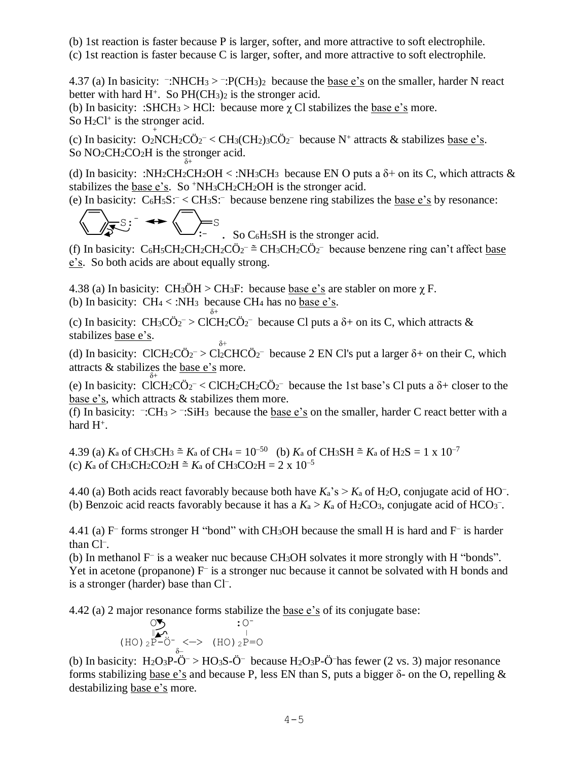(b) 1st reaction is faster because P is larger, softer, and more attractive to soft electrophile.

(c) 1st reaction is faster because C is larger, softer, and more attractive to soft electrophile.

4.37 (a) In basicity:  $\neg: NHCH_3 > \neg: P(CH_3)_2$  because the <u>base e's</u> on the smaller, harder N react better with hard  $H^+$ . So  $PH(CH_3)_2$  is the stronger acid.

(b) In basicity: :SHCH<sub>3</sub> > HCl: because more  $\gamma$  Cl stabilizes the base e's more.

So  $H_2Cl^+$  is the stronger acid.

(c) In basicity:  $O_2NCH_2C\ddot{O}_2^- < CH_3(CH_2)3C\ddot{O}_2^-$  because N<sup>+</sup> attracts & stabilizes <u>base e's</u>. So NO<sub>2</sub>CH<sub>2</sub>CO<sub>2</sub>H is the stronger acid.

(d) In basicity: :NH<sub>2</sub>CH<sub>2</sub>CH<sub>2</sub>OH < :NH<sub>3</sub>CH<sub>3</sub> because EN O puts a  $\delta$ + on its C, which attracts & stabilizes the base e's. So <sup>+</sup>NH<sub>3</sub>CH<sub>2</sub>CH<sub>2</sub>OH is the stronger acid.

(e) In basicity:  $C_6H_5S: : because benzene ring stabilizes the base e's by resonance:$ 

$$
\sum_{i=1}^n S_i = \bigoplus_{i=1}^n S_i
$$

 $\cdot$  So C<sub>6</sub>H<sub>5</sub>SH is the stronger acid.

(f) In basicity:  $C_6H_5CH_2CH_2CH_2C\ddot{O}_2^ \cong$  CH<sub>3</sub>CH<sub>2</sub>C $\ddot{O}_2^-$  because benzene ring can't affect <u>base</u> e's. So both acids are about equally strong.

4.38 (a) In basicity:  $CH_3OH > CH_3F$ : because base e's are stabler on more  $\gamma$  F. (b) In basicity:  $CH_4 < :NH_3$  because CH<sub>4</sub> has no base e's.

δ+ (c) In basicity:  $CH_3C\ddot{O}_2$ <sup>-</sup> > ClCH<sub>2</sub>C $\ddot{O}_2$ <sup>-</sup> because Cl puts a  $\delta$ + on its C, which attracts & stabilizes base e's. δ+

(d) In basicity: ClCH<sub>2</sub>C $\ddot{\mathrm{O}}_2$  > Cl<sub>2</sub>CHC $\ddot{\mathrm{O}}_2$  because 2 EN Cl's put a larger  $\delta$ + on their C, which attracts & stabilizes the <u>base e's</u> more.

(e) In basicity: ClCH<sub>2</sub>CÖ<sub>2</sub><sup>-</sup> < ClCH<sub>2</sub>CH<sub>2</sub>CÖ<sub>2</sub><sup>-</sup> because the 1st base's Cl puts a  $\delta$ + closer to the base e's, which attracts & stabilizes them more.

(f) In basicity:  $\neg$ :CH<sub>3</sub> >  $\neg$ :SiH<sub>3</sub> because the <u>base e's</u> on the smaller, harder C react better with a hard  $H^+$ .

4.39 (a)  $K_a$  of CH<sub>3</sub>CH<sub>3</sub>  $\cong K_a$  of CH<sub>4</sub> = 10<sup>-50</sup> (b)  $K_a$  of CH<sub>3</sub>SH  $\cong K_a$  of H<sub>2</sub>S = 1 x 10<sup>-7</sup> (c)  $K_a$  of CH<sub>3</sub>CH<sub>2</sub>CO<sub>2</sub>H  $\cong K_a$  of CH<sub>3</sub>CO<sub>2</sub>H = 2 x 10<sup>-5</sup>

4.40 (a) Both acids react favorably because both have  $K_a$ 's >  $K_a$  of H<sub>2</sub>O, conjugate acid of HO<sup>-</sup>. (b) Benzoic acid reacts favorably because it has a  $K_a > K_a$  of H<sub>2</sub>CO<sub>3</sub>, conjugate acid of HCO<sub>3</sub><sup>-</sup>.

4.41 (a) F<sup>-</sup> forms stronger H "bond" with CH<sub>3</sub>OH because the small H is hard and F<sup>-</sup> is harder than Cl– .

(b) In methanol F– is a weaker nuc because CH3OH solvates it more strongly with H "bonds". Yet in acetone (propanone) F<sup>-</sup> is a stronger nuc because it cannot be solvated with H bonds and is a stronger (harder) base than Cl– .

4.42 (a) 2 major resonance forms stabilize the base e's of its conjugate base:

$$
\begin{array}{ccc}\n&\circ & \circ \\
&\circ & \circ \\
\hline\n&\circ & \circ \\
\text{(HO) } {}_{2}P-\bullet^{-} & \circ & \circ \\
&\circ & \circ\n\end{array}
$$

(b) In basicity:  $H_2O_3P-O^- > HO_3S-O^-$  because  $H_2O_3P-O^-$  has fewer (2 vs. 3) major resonance forms stabilizing base e's and because P, less EN than S, puts a bigger δ- on the O, repelling & destabilizing base e's more.